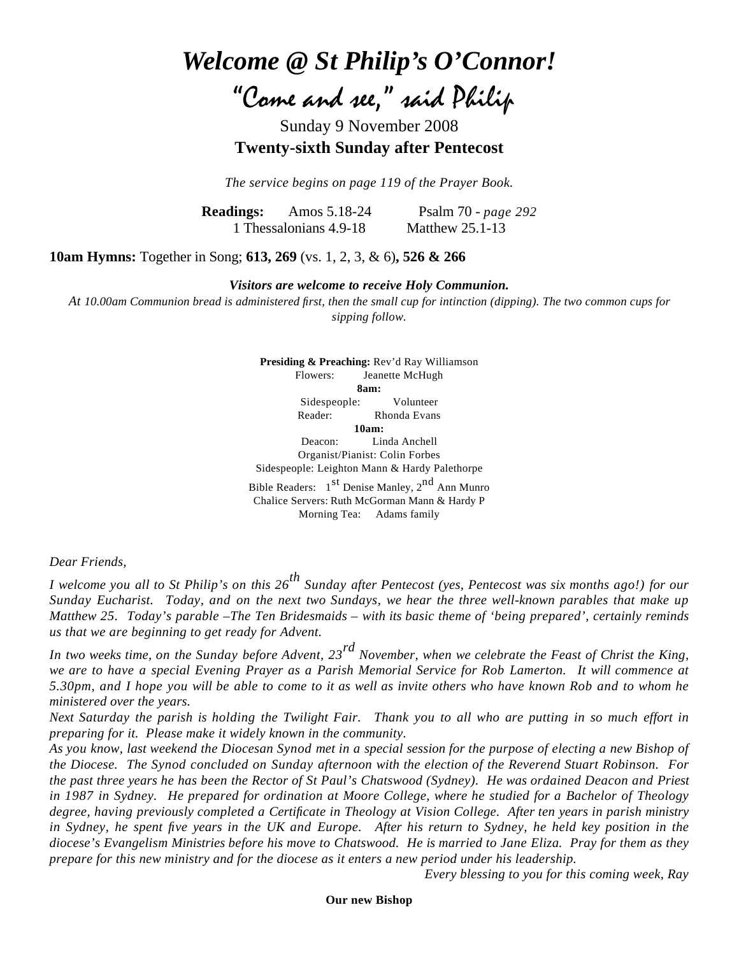*Welcome @ St Philip's O'Connor!*

"Come and see," said Philip

Sunday 9 November 2008 **Twenty-sixth Sunday after Pentecost**

*The service begins on page 119 of the Prayer Book.*

**Readings:** Amos 5.18-24 Psalm 70 - *page 292* 1 Thessalonians 4.9-18 Matthew 25.1-13

**10am Hymns:** Together in Song; **613, 269** (vs. 1, 2, 3, & 6)**, 526 & 266**

*Visitors are welcome to receive Holy Communion.*

*At 10.00am Communion bread is administered first, then the small cup for intinction (dipping). The two common cups for sipping follow.*

> **Presiding & Preaching:** Rev'd Ray Williamson Flowers: Jeanette McHugh **8am:** Sidespeople: Volunteer Reader: Rhonda Evans **10am:** Deacon: Linda Anchell Organist/Pianist: Colin Forbes Sidespeople: Leighton Mann & Hardy Palethorpe Bible Readers:  $1<sup>st</sup>$  Denise Manley,  $2<sup>nd</sup>$  Ann Munro Chalice Servers: Ruth McGorman Mann & Hardy P Morning Tea: Adams family

*Dear Friends,*

*I welcome you all to St Philip's on this 26th Sunday after Pentecost (yes, Pentecost was six months ago!) for our Sunday Eucharist. Today, and on the next two Sundays, we hear the three well-known parables that make up Matthew 25. Today's parable –The Ten Bridesmaids – with its basic theme of 'being prepared', certainly reminds us that we are beginning to get ready for Advent.*

*In two weeks time, on the Sunday before Advent, 23rd November, when we celebrate the Feast of Christ the King, we are to have a special Evening Prayer as a Parish Memorial Service for Rob Lamerton. It will commence at 5.30pm, and I hope you will be able to come to it as well as invite others who have known Rob and to whom he ministered over the years.*

*Next Saturday the parish is holding the Twilight Fair. Thank you to all who are putting in so much effort in preparing for it. Please make it widely known in the community.*

*As you know, last weekend the Diocesan Synod met in a special session for the purpose of electing a new Bishop of the Diocese. The Synod concluded on Sunday afternoon with the election of the Reverend Stuart Robinson. For the past three years he has been the Rector of St Paul's Chatswood (Sydney). He was ordained Deacon and Priest in 1987 in Sydney. He prepared for ordination at Moore College, where he studied for a Bachelor of Theology degree, having previously completed a Certificate in Theology at Vision College. After ten years in parish ministry in Sydney, he spent five years in the UK and Europe. After his return to Sydney, he held key position in the diocese's Evangelism Ministries before his move to Chatswood. He is married to Jane Eliza. Pray for them as they prepare for this new ministry and for the diocese as it enters a new period under his leadership.*

*Every blessing to you for this coming week, Ray*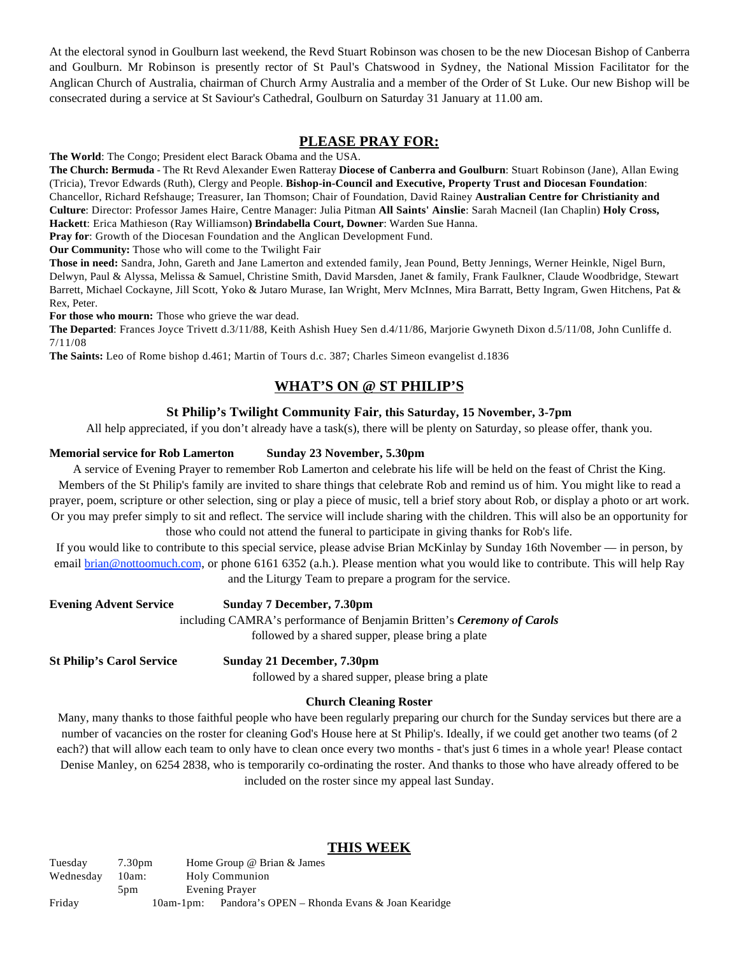At the electoral synod in Goulburn last weekend, the Revd Stuart Robinson was chosen to be the new Diocesan Bishop of Canberra and Goulburn. Mr Robinson is presently rector of St Paul's Chatswood in Sydney, the National Mission Facilitator for the Anglican Church of Australia, chairman of Church Army Australia and a member of the Order of St Luke. Our new Bishop will be consecrated during a service at St Saviour's Cathedral, Goulburn on Saturday 31 January at 11.00 am.

# **PLEASE PRAY FOR:**

**The World**: The Congo; President elect Barack Obama and the USA.

**The Church: Bermuda** - [The Rt Revd Alexander Ewen Ratteray](http://www.anglicancommunion.org/tour/diocese.cfm?Idind=756) **Diocese of Canberra and Goulburn**: Stuart Robinson (Jane), Allan Ewing (Tricia), Trevor Edwards (Ruth), Clergy and People. **Bishop-in-Council and Executive, Property Trust and Diocesan Foundation**: Chancellor, Richard Refshauge; Treasurer, Ian Thomson; Chair of Foundation, David Rainey **Australian Centre for Christianity and Culture**: Director: Professor James Haire, Centre Manager: Julia Pitman **All Saints' Ainslie**: Sarah Macneil (Ian Chaplin) **Holy Cross, Hackett**: Erica Mathieson (Ray Williamson**) Brindabella Court, Downer**: Warden Sue Hanna.

**Pray for**: Growth of the Diocesan Foundation and the Anglican Development Fund.

**Our Community:** Those who will come to the Twilight Fair

**Those in need:** Sandra, John, Gareth and Jane Lamerton and extended family, Jean Pound, Betty Jennings, Werner Heinkle, Nigel Burn, Delwyn, Paul & Alyssa, Melissa & Samuel, Christine Smith, David Marsden, Janet & family, Frank Faulkner, Claude Woodbridge, Stewart Barrett, Michael Cockayne, Jill Scott, Yoko & Jutaro Murase, Ian Wright, Merv McInnes, Mira Barratt, Betty Ingram, Gwen Hitchens, Pat & Rex, Peter.

**For those who mourn:** Those who grieve the war dead.

**The Departed**: Frances Joyce Trivett d.3/11/88, Keith Ashish Huey Sen d.4/11/86, Marjorie Gwyneth Dixon d.5/11/08, John Cunliffe d. 7/11/08

**The Saints:** Leo of Rome bishop d.461; Martin of Tours d.c. 387; Charles Simeon evangelist d.1836

# **WHAT'S ON @ ST PHILIP'S**

## **St Philip's Twilight Community Fair, this Saturday, 15 November, 3-7pm**

All help appreciated, if you don't already have a task(s), there will be plenty on Saturday, so please offer, thank you.

### **Memorial service for Rob Lamerton Sunday 23 November, 5.30pm**

A service of Evening Prayer to remember Rob Lamerton and celebrate his life will be held on the feast of Christ the King. Members of the St Philip's family are invited to share things that celebrate Rob and remind us of him. You might like to read a prayer, poem, scripture or other selection, sing or play a piece of music, tell a brief story about Rob, or display a photo or art work. Or you may prefer simply to sit and reflect. The service will include sharing with the children. This will also be an opportunity for those who could not attend the funeral to participate in giving thanks for Rob's life.

If you would like to contribute to this special service, please advise Brian McKinlay by Sunday 16th November — in person, by email [brian@nottoomuch.com](mailto:brian@nottoomuch.com%22%20%5C%5C%5C%5C%5C%5C%5C%5Ct%20%22_blank), or phone 6161 6352 (a.h.). Please mention what you would like to contribute. This will help Ray and the Liturgy Team to prepare a program for the service.

| <b>Evening Advent Service</b> | Sunday 7 December, 7.30pm                                              |
|-------------------------------|------------------------------------------------------------------------|
|                               | including CAMRA's performance of Benjamin Britten's Ceremony of Carols |
|                               | followed by a shared supper, please bring a plate                      |
|                               |                                                                        |

**St Philip's Carol Service Sunday 21 December, 7.30pm**

followed by a shared supper, please bring a plate

### **Church Cleaning Roster**

Many, many thanks to those faithful people who have been regularly preparing our church for the Sunday services but there are a number of vacancies on the roster for cleaning God's House here at St Philip's. Ideally, if we could get another two teams (of 2 each?) that will allow each team to only have to clean once every two months - that's just 6 times in a whole year! Please contact Denise Manley, on 6254 2838, who is temporarily co-ordinating the roster. And thanks to those who have already offered to be included on the roster since my appeal last Sunday.

## **THIS WEEK**

Tuesday 7.30pm Home Group @ Brian & James Wednesday 10am: Holy Communion 5pm Evening Prayer Friday 10am-1pm: Pandora's OPEN – Rhonda Evans & Joan Kearidge